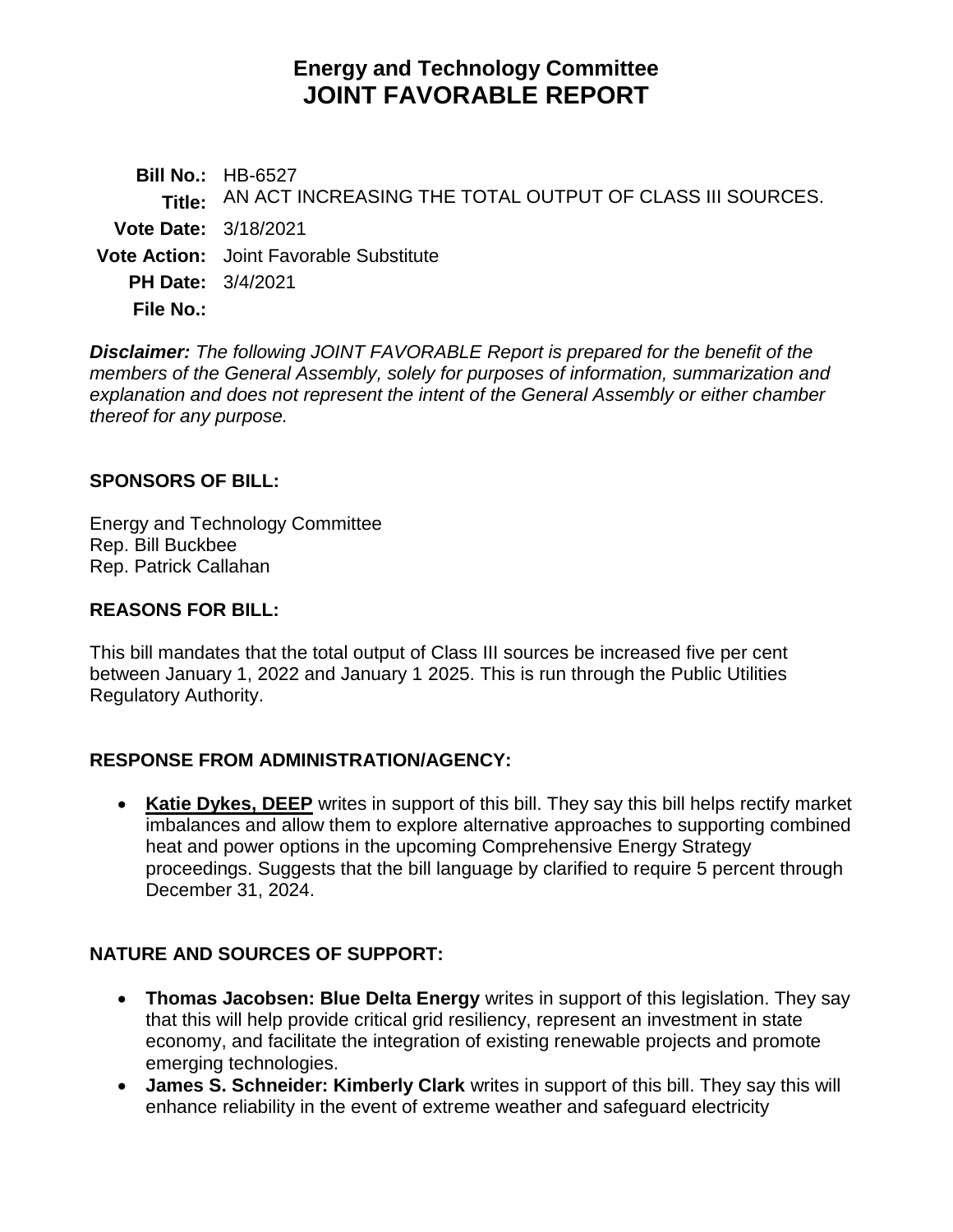# **Energy and Technology Committee JOINT FAVORABLE REPORT**

**Bill No.:** HB-6527 **Title:** AN ACT INCREASING THE TOTAL OUTPUT OF CLASS III SOURCES. **Vote Date:** 3/18/2021 **Vote Action:** Joint Favorable Substitute **PH Date:** 3/4/2021 **File No.:**

*Disclaimer: The following JOINT FAVORABLE Report is prepared for the benefit of the members of the General Assembly, solely for purposes of information, summarization and explanation and does not represent the intent of the General Assembly or either chamber thereof for any purpose.*

### **SPONSORS OF BILL:**

Energy and Technology Committee Rep. Bill Buckbee Rep. Patrick Callahan

## **REASONS FOR BILL:**

This bill mandates that the total output of Class III sources be increased five per cent between January 1, 2022 and January 1 2025. This is run through the Public Utilities Regulatory Authority.

## **RESPONSE FROM ADMINISTRATION/AGENCY:**

 **Katie Dykes, DEEP** writes in support of this bill. They say this bill helps rectify market imbalances and allow them to explore alternative approaches to supporting combined heat and power options in the upcoming Comprehensive Energy Strategy proceedings. Suggests that the bill language by clarified to require 5 percent through December 31, 2024.

## **NATURE AND SOURCES OF SUPPORT:**

- **Thomas Jacobsen: Blue Delta Energy** writes in support of this legislation. They say that this will help provide critical grid resiliency, represent an investment in state economy, and facilitate the integration of existing renewable projects and promote emerging technologies.
- **James S. Schneider: Kimberly Clark** writes in support of this bill. They say this will enhance reliability in the event of extreme weather and safeguard electricity